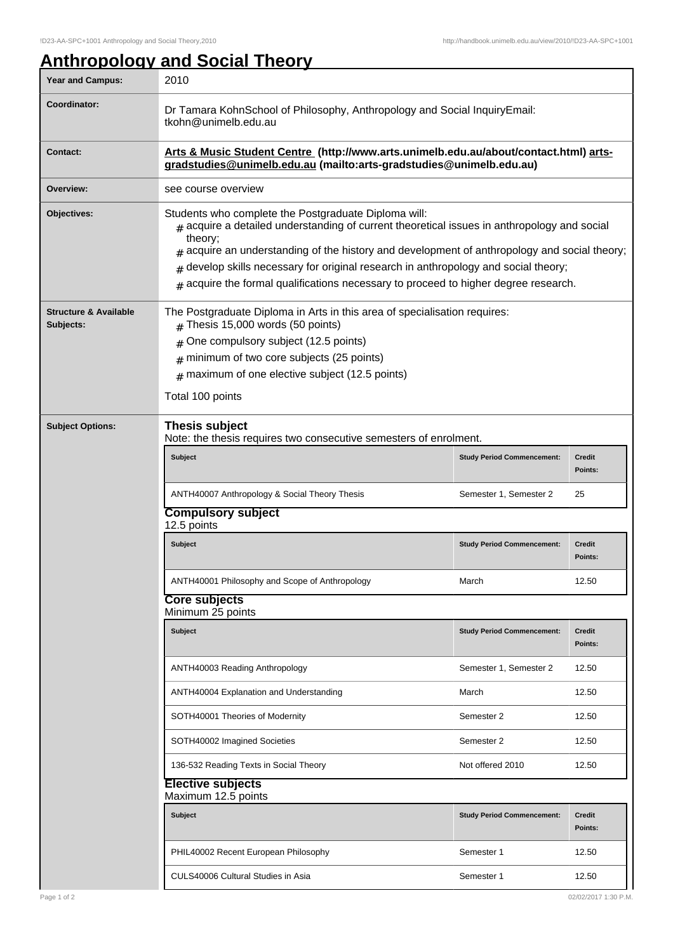## **Anthropology and Social Theory**

| Year and Campus:                              | 2010                                                                                                                                                                                                                                                                                                                                                                                                                                                   |                                   |                          |  |  |
|-----------------------------------------------|--------------------------------------------------------------------------------------------------------------------------------------------------------------------------------------------------------------------------------------------------------------------------------------------------------------------------------------------------------------------------------------------------------------------------------------------------------|-----------------------------------|--------------------------|--|--|
| Coordinator:                                  | Dr Tamara KohnSchool of Philosophy, Anthropology and Social InquiryEmail:<br>tkohn@unimelb.edu.au                                                                                                                                                                                                                                                                                                                                                      |                                   |                          |  |  |
| <b>Contact:</b>                               | Arts & Music Student Centre (http://www.arts.unimelb.edu.au/about/contact.html) arts-<br>gradstudies@unimelb.edu.au (mailto:arts-gradstudies@unimelb.edu.au)                                                                                                                                                                                                                                                                                           |                                   |                          |  |  |
| Overview:                                     | see course overview                                                                                                                                                                                                                                                                                                                                                                                                                                    |                                   |                          |  |  |
| Objectives:                                   | Students who complete the Postgraduate Diploma will:<br>$*$ acquire a detailed understanding of current theoretical issues in anthropology and social<br>theory;<br>acquire an understanding of the history and development of anthropology and social theory;<br>#<br>develop skills necessary for original research in anthropology and social theory;<br>#<br>$*$ acquire the formal qualifications necessary to proceed to higher degree research. |                                   |                          |  |  |
| <b>Structure &amp; Available</b><br>Subjects: | The Postgraduate Diploma in Arts in this area of specialisation requires:<br>Thesis 15,000 words (50 points)                                                                                                                                                                                                                                                                                                                                           |                                   |                          |  |  |
|                                               | One compulsory subject (12.5 points)<br>#                                                                                                                                                                                                                                                                                                                                                                                                              |                                   |                          |  |  |
|                                               | minimum of two core subjects (25 points)<br>#                                                                                                                                                                                                                                                                                                                                                                                                          |                                   |                          |  |  |
|                                               | $#$ maximum of one elective subject (12.5 points)                                                                                                                                                                                                                                                                                                                                                                                                      |                                   |                          |  |  |
|                                               | Total 100 points                                                                                                                                                                                                                                                                                                                                                                                                                                       |                                   |                          |  |  |
| <b>Subject Options:</b>                       | <b>Thesis subject</b><br>Note: the thesis requires two consecutive semesters of enrolment.                                                                                                                                                                                                                                                                                                                                                             |                                   |                          |  |  |
|                                               | <b>Subject</b>                                                                                                                                                                                                                                                                                                                                                                                                                                         | <b>Study Period Commencement:</b> | Credit<br>Points:        |  |  |
|                                               | ANTH40007 Anthropology & Social Theory Thesis                                                                                                                                                                                                                                                                                                                                                                                                          | Semester 1, Semester 2            | 25                       |  |  |
|                                               | <b>Compulsory subject</b><br>12.5 points                                                                                                                                                                                                                                                                                                                                                                                                               |                                   |                          |  |  |
|                                               | Subject                                                                                                                                                                                                                                                                                                                                                                                                                                                | <b>Study Period Commencement:</b> | <b>Credit</b><br>Points: |  |  |
|                                               | ANTH40001 Philosophy and Scope of Anthropology                                                                                                                                                                                                                                                                                                                                                                                                         | March                             | 12.50                    |  |  |
|                                               | Core subjects<br>Minimum 25 points                                                                                                                                                                                                                                                                                                                                                                                                                     |                                   |                          |  |  |
|                                               | Subject                                                                                                                                                                                                                                                                                                                                                                                                                                                | <b>Study Period Commencement:</b> | Credit<br>Points:        |  |  |
|                                               | ANTH40003 Reading Anthropology                                                                                                                                                                                                                                                                                                                                                                                                                         | Semester 1, Semester 2            | 12.50                    |  |  |
|                                               | ANTH40004 Explanation and Understanding                                                                                                                                                                                                                                                                                                                                                                                                                | March                             | 12.50                    |  |  |
|                                               | SOTH40001 Theories of Modernity                                                                                                                                                                                                                                                                                                                                                                                                                        | Semester 2                        | 12.50                    |  |  |
|                                               | SOTH40002 Imagined Societies                                                                                                                                                                                                                                                                                                                                                                                                                           | Semester 2                        | 12.50                    |  |  |
|                                               | 136-532 Reading Texts in Social Theory                                                                                                                                                                                                                                                                                                                                                                                                                 | Not offered 2010                  | 12.50                    |  |  |
|                                               | <b>Elective subjects</b><br>Maximum 12.5 points                                                                                                                                                                                                                                                                                                                                                                                                        |                                   |                          |  |  |
|                                               | Subject                                                                                                                                                                                                                                                                                                                                                                                                                                                | <b>Study Period Commencement:</b> | Credit<br>Points:        |  |  |
|                                               | PHIL40002 Recent European Philosophy                                                                                                                                                                                                                                                                                                                                                                                                                   | Semester 1                        | 12.50                    |  |  |
|                                               | CULS40006 Cultural Studies in Asia                                                                                                                                                                                                                                                                                                                                                                                                                     | Semester 1                        | 12.50                    |  |  |